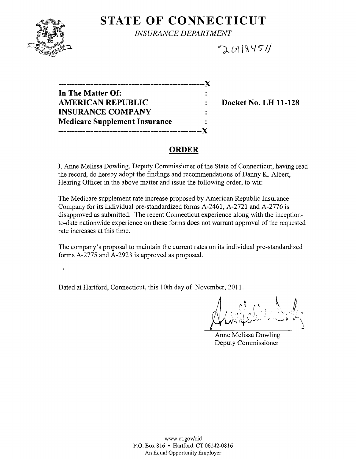

# **STATE OF CONNECTICUT**

*INSURANCE DEPARTMENT* 

## $201845/$

| ____________                         |  |
|--------------------------------------|--|
| In The Matter Of:                    |  |
| <b>AMERICAN REPUBLIC</b>             |  |
| <b>INSURANCE COMPANY</b>             |  |
| <b>Medicare Supplement Insurance</b> |  |
|                                      |  |

**AMERICAN REPUBLIC DOCKET NO. LH 11-128** 

### **ORDER**

I, Anne Melissa Dowling, Deputy Commissioner of the State of Connecticut, having read the record, do hereby adopt the findings and recommendations of Danny K. Albert, Hearing Officer in the above matter and issue the following order, to wit:

The Medicare supplement rate increase proposed by American Republic Insurance Company for its individual pre-standardized forms A-2461, A-2721 and A-2776 is disapproved as submitted. The recent Connecticut experience along with the inceptionto-date nationwide experience on these forms does not warrant approval of the requested rate increases at this time.

The company's proposal to maintain the current rates on its individual pre-standardized forms A-2775 and A-2923 is approved as proposed.

Dated at Hartford, Connecticut, this 10th day of November, 2011.

'f'kU'~U+;j-,." <sup>11</sup> ! i' "~:' 'j' '" }" *,,'"'----'\1'* V"\~

Anne Melissa Dowling Deputy Commissioner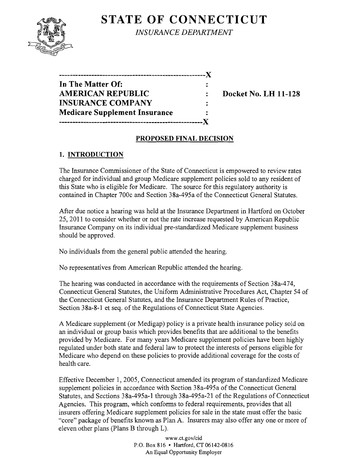## **STATE OF CONNECTICUT**



*INSURANCE DEPARTMENT* 

| ,,,,,,,,,,,,,,,,,                    |  |
|--------------------------------------|--|
| In The Matter Of:                    |  |
| <b>AMERICAN REPUBLIC</b>             |  |
| <b>INSURANCE COMPANY</b>             |  |
| <b>Medicare Supplement Insurance</b> |  |
|                                      |  |

**Docket No. LH 11-128** 

### **PROPOSED FINAL DECISION**

### **1. INTRODUCTION**

The Insurance Commissioner of the State of Connecticut is empowered to review rates charged for individual and group Medicare supplement policies sold to any resident of this State who is eligible for Medicare. The source for this regulatory authority is contained in Chapter 700c and Section 38a-495a of the Connecticut General Statutes.

After due notice a hearing was held at the Insurance Department in Hartford on October 25,2011 to consider whether or not the rate increase requested by American Republic Insurance Company on its individual pre-standardized Medicare supplement business should be approved.

No individuals from the general public attended the hearing.

No representatives from American Republic attended the hearing.

The hearing was conducted in accordance with the requirements of Section 38a-474, Connecticut General Statutes, the Uniform Administrative Procedures Act, Chapter 54 of the Connecticut General Statutes, and the Insurance Department Rules of Practice, Section 38a-8-1 et seq. of the Regulations of Connecticut State Agencies.

A Medicare supplement (or Medigap) policy is a private health insurance policy sold on an individual or group basis which provides benefits that are additional to the benefits provided by Medicare. For many years Medicare supplement policies have been highly regulated under both state and federal law to protect the interests of persons eligible for Medicare who depend on these policies to provide additional coverage for the costs of health care.

Effective December I, 2005, Connecticut amended its program of standardized Medicare supplement policies in accordance with Section 38a-495a of the Connecticut General Statutes, and Sections 38a-495a-1 through 38a-495a-21 of the Regulations of Connecticut Agencies. This program, which conforms to federal requirements, provides that all insurers offering Medicare supplement policies for sale in the state must offer the basic "core" package of benefits known as Plan A. Insurers may also offer anyone or more of eleven other plans (Plans B through L).

> www.ct.gov/cid P.O. Box 816 • Hartford, CT 06142-0816 An Equal Opportunity Employer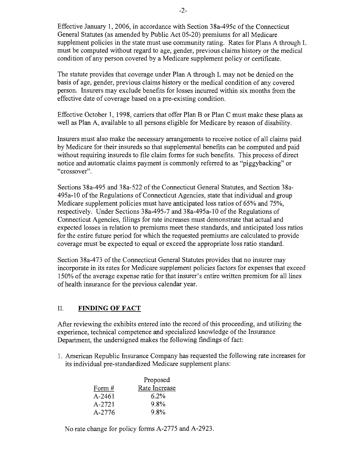Effective January 1, 2006, in accordance with Section 38a-495c of the Connecticut General Statutes (as amended by Public Act 05-20) premiums for all Medicare supplement policies in the state must use community rating. Rates for Plans A through L must be computed without regard to age, gender, previous claims history or the medical condition of any person covered by a Medicare supplement policy or certificate.

The statute provides that coverage under Plan A through L may not be denied on the basis of age, gender, previous claims history or the medical condition of any covered person. Insurers may exclude benefits for losses incurred within six months from the effective date of coverage based on a pre-existing condition.

Effective October 1, 1998, carriers that offer Plan B or Plan C must make these plans as well as Plan A, available to all persons eligible for Medicare by reason of disability.

Insurers must also make the necessary arrangements to receive notice of all claims paid by Medicare for their insureds so that supplemental benefits can be computed and paid without requiring insureds to file claim forms for such benefits. This process of direct notice and automatic claims payment is commonly referred to as "piggybacking" or "crossover".

Sections 38a-495 and 38a-522 of the Connecticut General Statutes, and Section 38a-495a-l0 of the Regulations of Connecticut Agencies, state that individual and group Medicare supplement policies must have anticipated loss ratios of 65% and 75%, respectively. Under Sections 38a-495-7 and 38a-495a-l0 of the Regulations of Connecticut Agencies, filings for rate increases must demonstrate that actual and expected losses in relation to premiums meet these standards, and anticipated loss ratios for the entire future period for which the requested premiums are calculated to provide coverage must be expected to equal or exceed the appropriate loss ratio standard.

Section 38a-473 of the Connecticut General Statutes provides that no insurer may incorporate in its rates for Medicare supplement policies factors for expenses that exceed 150% of the average expense ratio for that insurer's entire written premium for all lines of health insurance for the previous calendar year.

#### II. **FINDING OF FACT**

After reviewing the exhibits entered into the record of this proceeding, and utilizing the experience, technical competence and specialized knowledge of the Insurance Department, the undersigned makes the following findings of fact:

1. American Republic Insurance Company has requested the following rate increases for its individual pre-standardized Medicare supplement plans:

|        | Proposed      |  |
|--------|---------------|--|
| Form#  | Rate Increase |  |
| A-2461 | 6.2%          |  |
| A-2721 | 9.8%          |  |
| A-2776 | 9.8%          |  |

No rate change for policy forms A-2775 and A-2923.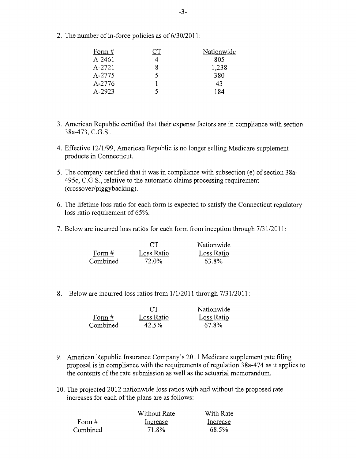2. The number of in-force policies as of 6/30/2011:

| Form #     | ◡⊥ | Nationwide |
|------------|----|------------|
| $A - 2461$ |    | 805        |
| A-2721     |    | 1,238      |
| A-2775     | 5. | 380        |
| A-2776     |    | 43         |
| A-2923     |    | 184        |

- 3. American Republic certified that their expense factors are in compliance with section 38a-473, C.G.S..
- 4. Effective 12/1/99, American Republic is no longer selling Medicare supplement products in Connecticut.
- 5. The company certified that it was in compliance with subsection (e) of section 38a-495c, C.G.S., relative to the automatic claims processing requirement (crossover/piggybacking).
- 6. The lifetime loss ratio for each form is expected to satisfy the Connecticut regulatory loss ratio requirement of 65%.
- 7. Below are incurred loss ratios for each form from inception through  $7/31/2011$ :

|          | CT           | Nationwide |
|----------|--------------|------------|
| Form $#$ | Loss Ratio   | Loss Ratio |
| Combined | <b>72.0%</b> | 63.8%      |

8. Below are incurred loss ratios from  $1/1/2011$  through  $7/31/2011$ :

|          | $\Gamma$   | Nationwide |
|----------|------------|------------|
| Form $#$ | Loss Ratio | Loss Ratio |
| Combined | 42.5%      | 67.8%      |

- 9. American Republic Insurance Company's 2011 Medicare supplement rate filing proposal is in compliance with the requirements of regulation 38a-474 as it applies to the contents of the rate submission as well as the actuarial memorandum.
- 10. The projected 2012 nationwide loss ratios with and without the proposed rate increases for each of the plans are as follows:

| Without Rate | With Rate |
|--------------|-----------|
| Increase     | Increase  |
| 71.8%        | 68.5%     |
|              |           |